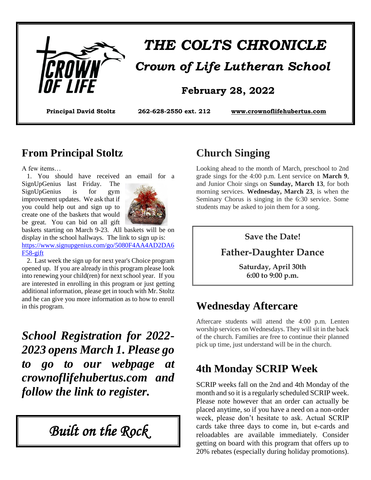

# *THE COLTS CHRONICLE*

#### **February 28, 2022**

**Principal David Stoltz 262-628-2550 ext. 212 [www.crownoflifehubertus.com](http://www.crownoflifehubertus.com/)**

#### **From Principal Stoltz**

A few items…

 1. You should have received an email for a SignUpGenius last Friday. The SignUpGenius is for gym improvement updates. We ask that if you could help out and sign up to create one of the baskets that would be great. You can bid on all gift



baskets starting on March 9-23. All baskets will be on display in the school hallways. The link to sign up is: [https://www.signupgenius.com/go/5080F4AA4AD2DA6](https://www.signupgenius.com/go/5080F4AA4AD2DA6F58-gift) [F58-gift](https://www.signupgenius.com/go/5080F4AA4AD2DA6F58-gift)

 2. Last week the sign up for next year's Choice program opened up. If you are already in this program please look into renewing your child(ren) for next school year. If you are interested in enrolling in this program or just getting additional information, please get in touch with Mr. Stoltz and he can give you more information as to how to enroll in this program.

*School Registration for 2022- 2023 opens March 1. Please go to go to our webpage at crownoflifehubertus.com and follow the link to register.*

*Built on the Rock* 

## **Church Singing**

Looking ahead to the month of March, preschool to 2nd grade sings for the 4:00 p.m. Lent service on **March 9**, and Junior Choir sings on **Sunday, March 13**, for both morning services. **Wednesday, March 23**, is when the Seminary Chorus is singing in the 6:30 service. Some students may be asked to join them for a song.

#### **Save the Date!**

#### **Father-Daughter Dance**

**Saturday, April 30th 6:00 to 9:00 p.m.**

#### **Wednesday Aftercare**

Aftercare students will attend the 4:00 p.m. Lenten worship services on Wednesdays. They will sit in the back of the church. Families are free to continue their planned pick up time, just understand will be in the church.

## **4th Monday SCRIP Week**

SCRIP weeks fall on the 2nd and 4th Monday of the month and so it is a regularly scheduled SCRIP week. Please note however that an order can actually be placed anytime, so if you have a need on a non-order week, please don't hesitate to ask. Actual SCRIP cards take three days to come in, but e-cards and reloadables are available immediately. Consider getting on board with this program that offers up to 20% rebates (especially during holiday promotions).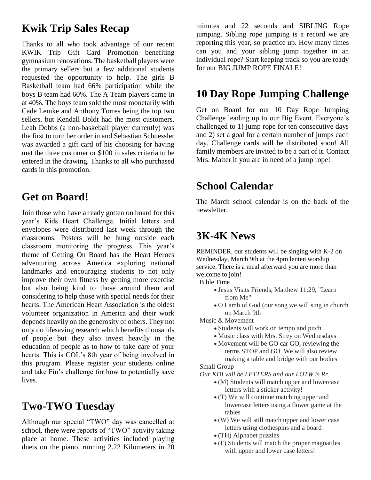#### **Kwik Trip Sales Recap**

Thanks to all who took advantage of our recent KWIK Trip Gift Card Promotion benefiting gymnasium renovations. The basketball players were the primary sellers but a few additional students requested the opportunity to help. The girls B Basketball team had 66% participation while the boys B team had 60%. The A Team players came in at 40%. The boys team sold the most monetarily with Cade Lemke and Anthony Torres being the top two sellers, but Kendall Boldt had the most customers. Leah Dobbs (a non-baskeball player currently) was the first to turn her order in and Sebastian Schuessler was awarded a gift card of his choosing for having met the three customer or \$100 in sales criteria to be entered in the drawing. Thanks to all who purchased cards in this promotion.

#### **Get on Board!**

Join those who have already gotten on board for this year's Kids Heart Challenge. Initial letters and envelopes were distributed last week through the classrooms. Posters will be hung outside each classroom monitoring the progress. This year's theme of Getting On Board has the Heart Heroes adventuring across America exploring national landmarks and encouraging students to not only improve their own fitness by getting more exercise but also being kind to those around them and considering to help those with special needs for their hearts. The American Heart Association is the oldest volunteer organization in America and their work depends heavily on the generosity of others. They not only do lifesaving research which benefits thousands of people but they also invest heavily in the education of people as to how to take care of your hearts. This is COL's 8th year of being involved in this program. Please register your students online and take Fin's challenge for how to potentially save lives.

## **Two-TWO Tuesday**

Although our special "TWO" day was cancelled at school, there were reports of "TWO" activity taking place at home. These activities included playing duets on the piano, running 2.22 Kilometers in 20

minutes and 22 seconds and SIBLING Rope jumping. Sibling rope jumping is a record we are reporting this year, so practice up. How many times can you and your sibling jump together in an individual rope? Start keeping track so you are ready for our BIG JUMP ROPE FINALE!

#### **10 Day Rope Jumping Challenge**

Get on Board for our 10 Day Rope Jumping Challenge leading up to our Big Event. Everyone's challenged to 1) jump rope for ten consecutive days and 2) set a goal for a certain number of jumps each day. Challenge cards will be distributed soon! All family members are invited to be a part of it. Contact Mrs. Matter if you are in need of a jump rope!

#### **School Calendar**

The March school calendar is on the back of the newsletter.

#### **3K-4K News**

REMINDER, our students will be singing with K-2 on Wednesday, March 9th at the 4pm lenten worship service. There is a meal afterward you are more than welcome to join!

Bible Time

- Jesus Visits Friends, Matthew 11:29, "Learn from Me"
- O Lamb of God (our song we will sing in church on March 9th

Music & Movement

- Students will work on tempo and pitch
- Music class with Mrs. Strey on Wednesdays
- Movement will be GO car GO, reviewing the terms STOP and GO. We will also review making a table and bridge with our bodies

Small Group

 *Our KDI will be LETTERS and our LOTW is Rr.*

- (M) Students will match upper and lowercase letters with a sticker activity!
- (T) We will continue matching upper and lowercase letters using a flower game at the tables
- (W) We will still match upper and lower case letters using clothespins and a board
- (TH) Alphabet puzzles
- (F) Students will match the proper magnatiles with upper and lower case letters!